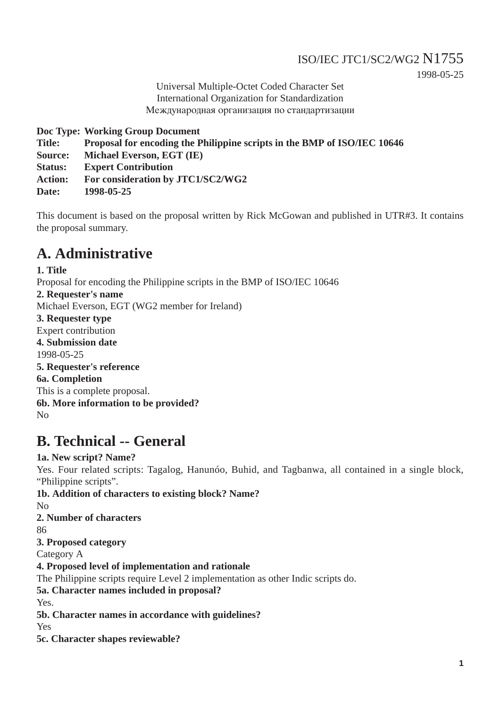## ISO/IEC JTC1/SC2/WG2 N1755 1998-05-25

Universal Multiple-Octet Coded Character Set International Organization for Standardization Международная организация по стандартизации

**Doc Type: Working Group Document**

**Title: Proposal for encoding the Philippine scripts in the BMP of ISO/IEC 10646**

**Source: Michael Everson, EGT (IE)**

**Status: Expert Contribution**

**Action: For consideration by JTC1/SC2/WG2**

**Date: 1998-05-25**

This document is based on the proposal written by Rick McGowan and published in UTR#3. It contains the proposal summary.

## **A. Administrative**

**1. Title** Proposal for encoding the Philippine scripts in the BMP of ISO/IEC 10646 **2. Requester's name** Michael Everson, EGT (WG2 member for Ireland) **3. Requester type** Expert contribution **4. Submission date** 1998-05-25 **5. Requester's reference 6a. Completion** This is a complete proposal. **6b. More information to be provided?** No

# **B. Technical -- General**

**1a. New script? Name?** Yes. Four related scripts: Tagalog, Hanunóo, Buhid, and Tagbanwa, all contained in a single block, "Philippine scripts". **1b. Addition of characters to existing block? Name?**

No

**2. Number of characters**

86

**3. Proposed category**

Category A

**4. Proposed level of implementation and rationale**

The Philippine scripts require Level 2 implementation as other Indic scripts do.

**5a. Character names included in proposal?**

Yes.

**5b. Character names in accordance with guidelines?**

Yes

**5c. Character shapes reviewable?**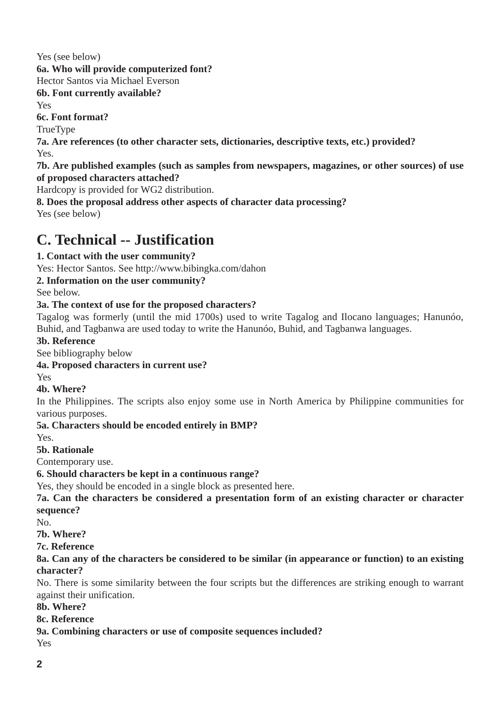Yes (see below) **6a. Who will provide computerized font?** Hector Santos via Michael Everson **6b. Font currently available?** Yes **6c. Font format?** TrueType **7a. Are references (to other character sets, dictionaries, descriptive texts, etc.) provided?** Yes. **7b. Are published examples (such as samples from newspapers, magazines, or other sources) of use of proposed characters attached?** Hardcopy is provided for WG2 distribution. **8. Does the proposal address other aspects of character data processing?**

Yes (see below)

# **C. Technical -- Justification**

### **1. Contact with the user community?**

Yes: Hector Santos. See http://www.bibingka.com/dahon

### **2. Information on the user community?**

See below.

#### **3a. The context of use for the proposed characters?**

Tagalog was formerly (until the mid 1700s) used to write Tagalog and Ilocano languages; Hanunóo, Buhid, and Tagbanwa are used today to write the Hanunóo, Buhid, and Tagbanwa languages.

#### **3b. Reference**

See bibliography below

#### **4a. Proposed characters in current use?**

Yes

### **4b. Where?**

In the Philippines. The scripts also enjoy some use in North America by Philippine communities for various purposes.

#### **5a. Characters should be encoded entirely in BMP?**

Yes.

### **5b. Rationale**

Contemporary use.

#### **6. Should characters be kept in a continuous range?**

Yes, they should be encoded in a single block as presented here.

**7a. Can the characters be considered a presentation form of an existing character or character sequence?** 

No.

- **7b. Where?**
- **7c. Reference**

#### **8a. Can any of the characters be considered to be similar (in appearance or function) to an existing character?**

No. There is some similarity between the four scripts but the differences are striking enough to warrant against their unification.

#### **8b. Where?**

#### **8c. Reference**

### **9a. Combining characters or use of composite sequences included?**

Yes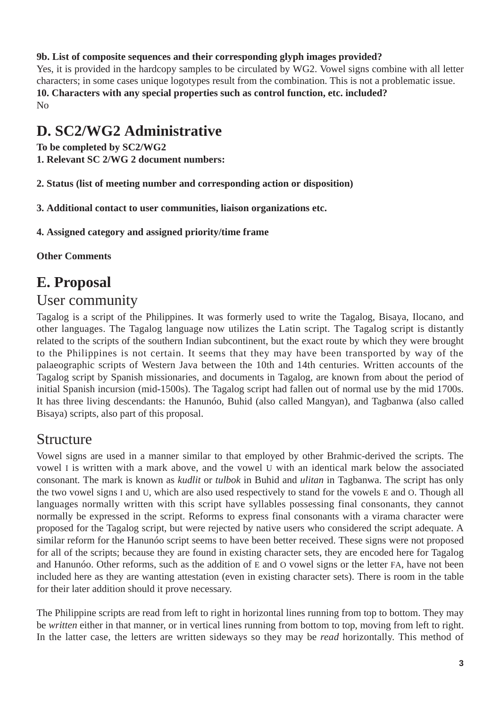### **9b. List of composite sequences and their corresponding glyph images provided?**

Yes, it is provided in the hardcopy samples to be circulated by WG2. Vowel signs combine with all letter characters; in some cases unique logotypes result from the combination. This is not a problematic issue. **10. Characters with any special properties such as control function, etc. included?** No

## **D. SC2/WG2 Administrative**

**To be completed by SC2/WG2** 

**1. Relevant SC 2/WG 2 document numbers:**

**2. Status (list of meeting number and corresponding action or disposition)**

**3. Additional contact to user communities, liaison organizations etc.**

**4. Assigned category and assigned priority/time frame**

**Other Comments**

## **E. Proposal**

## User community

Tagalog is a script of the Philippines. It was formerly used to write the Tagalog, Bisaya, Ilocano, and other languages. The Tagalog language now utilizes the Latin script. The Tagalog script is distantly related to the scripts of the southern Indian subcontinent, but the exact route by which they were brought to the Philippines is not certain. It seems that they may have been transported by way of the palaeographic scripts of Western Java between the 10th and 14th centuries. Written accounts of the Tagalog script by Spanish missionaries, and documents in Tagalog, are known from about the period of initial Spanish incursion (mid-1500s). The Tagalog script had fallen out of normal use by the mid 1700s. It has three living descendants: the Hanunóo, Buhid (also called Mangyan), and Tagbanwa (also called Bisaya) scripts, also part of this proposal.

## Structure

Vowel signs are used in a manner similar to that employed by other Brahmic-derived the scripts. The vowel I is written with a mark above, and the vowel U with an identical mark below the associated consonant. The mark is known as *kudlit* or *tulbok* in Buhid and *ulitan* in Tagbanwa. The script has only the two vowel signs I and U, which are also used respectively to stand for the vowels E and O. Though all languages normally written with this script have syllables possessing final consonants, they cannot normally be expressed in the script. Reforms to express final consonants with a virama character were proposed for the Tagalog script, but were rejected by native users who considered the script adequate. A similar reform for the Hanunóo script seems to have been better received. These signs were not proposed for all of the scripts; because they are found in existing character sets, they are encoded here for Tagalog and Hanunóo. Other reforms, such as the addition of E and O vowel signs or the letter FA, have not been included here as they are wanting attestation (even in existing character sets). There is room in the table for their later addition should it prove necessary.

The Philippine scripts are read from left to right in horizontal lines running from top to bottom. They may be *written* either in that manner, or in vertical lines running from bottom to top, moving from left to right. In the latter case, the letters are written sideways so they may be *read* horizontally. This method of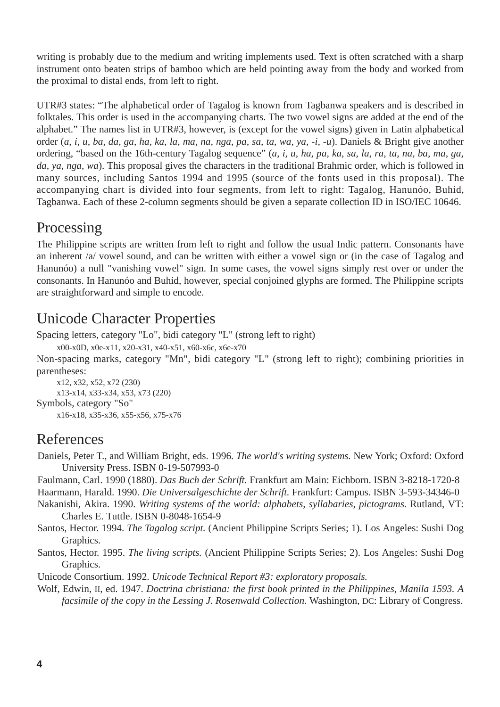writing is probably due to the medium and writing implements used. Text is often scratched with a sharp instrument onto beaten strips of bamboo which are held pointing away from the body and worked from the proximal to distal ends, from left to right.

UTR#3 states: "The alphabetical order of Tagalog is known from Tagbanwa speakers and is described in folktales. This order is used in the accompanying charts. The two vowel signs are added at the end of the alphabet." The names list in UTR#3, however, is (except for the vowel signs) given in Latin alphabetical order (*a, i, u, ba, da, ga, ha, ka, la, ma, na, nga, pa, sa, ta, wa, ya, -i, -u*). Daniels & Bright give another ordering, "based on the 16th-century Tagalog sequence" (*a, i, u, ha, pa, ka, sa, la, ra, ta, na, ba, ma, ga, da, ya, nga, wa*). This proposal gives the characters in the traditional Brahmic order, which is followed in many sources, including Santos 1994 and 1995 (source of the fonts used in this proposal). The accompanying chart is divided into four segments, from left to right: Tagalog, Hanunóo, Buhid, Tagbanwa. Each of these 2-column segments should be given a separate collection ID in ISO/IEC 10646.

# Processing

The Philippine scripts are written from left to right and follow the usual Indic pattern. Consonants have an inherent /a/ vowel sound, and can be written with either a vowel sign or (in the case of Tagalog and Hanunóo) a null "vanishing vowel" sign. In some cases, the vowel signs simply rest over or under the consonants. In Hanunóo and Buhid, however, special conjoined glyphs are formed. The Philippine scripts are straightforward and simple to encode.

# Unicode Character Properties

Spacing letters, category "Lo", bidi category "L" (strong left to right)

x00-x0D, x0e-x11, x20-x31, x40-x51, x60-x6c, x6e-x70

Non-spacing marks, category "Mn", bidi category "L" (strong left to right); combining priorities in parentheses:

x12, x32, x52, x72 (230) x13-x14, x33-x34, x53, x73 (220) Symbols, category "So" x16-x18, x35-x36, x55-x56, x75-x76

## References

Daniels, Peter T., and William Bright, eds. 1996. *The world's writing systems.* New York; Oxford: Oxford University Press. ISBN 0-19-507993-0

Faulmann, Carl. 1990 (1880). *Das Buch der Schrift.* Frankfurt am Main: Eichborn. ISBN 3-8218-1720-8

Haarmann, Harald. 1990. *Die Universalgeschichte der Schrift.* Frankfurt: Campus. ISBN 3-593-34346-0 Nakanishi, Akira. 1990. *Writing systems of the world: alphabets, syllabaries, pictograms.* Rutland, VT: Charles E. Tuttle. ISBN 0-8048-1654-9

Santos, Hector. 1994. *The Tagalog script.* (Ancient Philippine Scripts Series; 1). Los Angeles: Sushi Dog Graphics.

Santos, Hector. 1995. *The living scripts.* (Ancient Philippine Scripts Series; 2). Los Angeles: Sushi Dog Graphics.

Unicode Consortium. 1992. *Unicode Technical Report #3: exploratory proposals.*

Wolf, Edwin, II, ed. 1947. *Doctrina christiana: the first book printed in the Philippines, Manila 1593. A facsimile of the copy in the Lessing J. Rosenwald Collection.* Washington, DC: Library of Congress.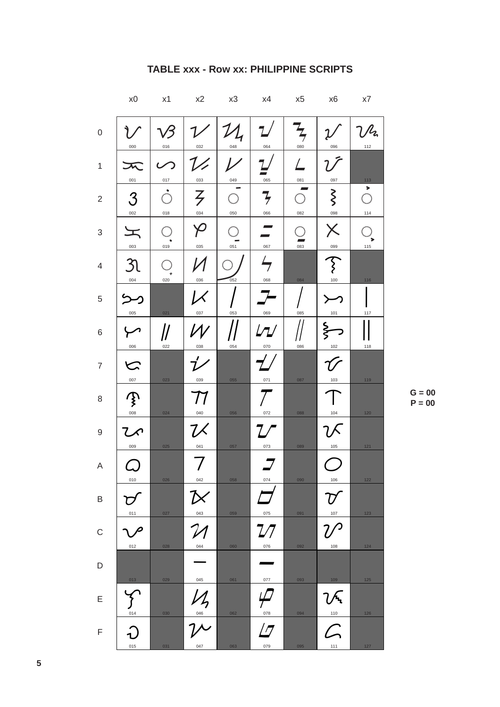|                           | x0              | x1                   | x2                       | x3  | x4                              | x5                   | x6                                                                 | x7                                             |
|---------------------------|-----------------|----------------------|--------------------------|-----|---------------------------------|----------------------|--------------------------------------------------------------------|------------------------------------------------|
| $\mathbf 0$               | 000             | 016                  | 032                      | 048 | 064                             | $\frac{1}{7}$<br>080 | 096                                                                | $\mathcal{V}$ lz<br>112                        |
| $\mathbf{1}$              | 001             | 017                  | 033                      | 049 | $\overline{\phantom{a}}$<br>065 | 081                  | 097                                                                | 113                                            |
| $\overline{c}$            | 3<br>002        | $\dot{\odot}$<br>018 | $\overline{z}$<br>034    | 050 | そ<br>066                        | 082                  | $\zeta$<br>098                                                     | $\blacktriangleright$<br>$\bigcirc$<br>$114\,$ |
| $\ensuremath{\mathsf{3}}$ | I<br>003        | 019                  | 035                      | 051 | 067                             | 083                  | $\times$<br>099                                                    | 115                                            |
| $\overline{4}$            | 31<br>004       | 020                  | 036                      | 052 | $\overline{\mathcal{F}}$<br>068 | 084                  | $\overline{\mathcal{E}}$<br>100                                    | $116$                                          |
| 5                         | 005             | 021                  | l X<br>037               | 053 | 069                             | 085                  | 101                                                                | 117                                            |
| 6                         | 006             | 022                  | 038                      | 054 | L<br>070                        | 086                  | Ş<br>102                                                           | 118                                            |
| $\boldsymbol{7}$          | ヒ<br>007        | 023                  | 039                      | 055 | 071                             | 087                  | $103$                                                              | 119                                            |
| 8                         | P<br>008        | 024                  | 040                      | 056 | 072                             | 088                  | 104                                                                | 120                                            |
| $\mathsf 9$               | てん<br>009       | 025                  | $7\measuredangle$<br>041 | 057 | 073                             | 089                  | 7 K<br>$105\,$                                                     | $121$                                          |
| A                         | 010             | 026                  | 042                      | 058 | 074                             | 090                  | 106                                                                | $122$                                          |
| B                         | 011             | 027                  | 043                      | 059 | 075                             | 091                  | 107                                                                | 123                                            |
| $\mathsf C$               | P<br>012        | 028                  | 044                      | 060 | 7/<br>076                       | 092                  | 108                                                                | $124$                                          |
| $\mathsf D$               | 013             | 029                  | 045                      | 061 | 077                             | 093                  | 109                                                                | $125$                                          |
| E                         | $rac{1}{014}$   | 030                  | $\frac{1}{2}$            | 062 | 078                             | 094                  | ひへ<br>$110$                                                        | $126$                                          |
| $\mathsf F$               | $\Omega$<br>015 | 031                  | 047                      | 063 | / 7<br>079                      | 095                  | $\mathcal{L}% _{M_{1},M_{2}}^{\alpha,\beta}(\varepsilon)$<br>$111$ | $127$                                          |

### TABLE xxx - Row xx: PHILIPPINE SCRIPTS

 $G = 00$  $P = 00$